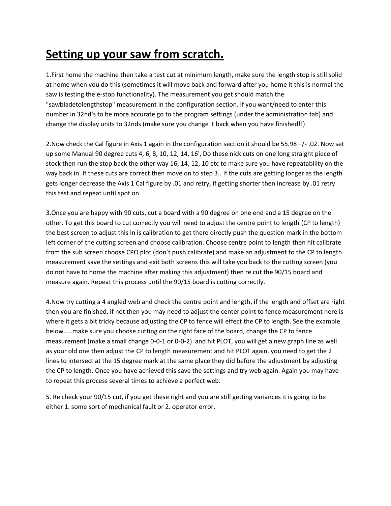## **Setting up your saw from scratch.**

1.First home the machine then take a test cut at minimum length, make sure the length stop is still solid at home when you do this (sometimes it will move back and forward after you home it this is normal the saw is testing the e-stop functionality). The measurement you get should match the "sawbladetolengthstop" measurement in the configuration section. If you want/need to enter this number in 32nd's to be more accurate go to the program settings (under the administration tab) and change the display units to 32nds (make sure you change it back when you have finished!!)

2.Now check the Cal figure in Axis 1 again in the configuration section it should be 55.98 +/- .02. Now set up some Manual 90 degree cuts 4, 6, 8, 10, 12, 14, 16', Do these nick cuts on one long straight piece of stock then run the stop back the other way 16, 14, 12, 10 etc to make sure you have repeatability on the way back in. If these cuts are correct then move on to step 3.. If the cuts are getting longer as the length gets longer decrease the Axis 1 Cal figure by .01 and retry, if getting shorter then increase by .01 retry this test and repeat until spot on.

3.Once you are happy with 90 cuts, cut a board with a 90 degree on one end and a 15 degree on the other. To get this board to cut correctly you will need to adjust the centre point to length (CP to length) the best screen to adjust this in is calibration to get there directly push the question mark in the bottom left corner of the cutting screen and choose calibration. Choose centre point to length then hit calibrate from the sub screen choose CPO plot (don't push calibrate) and make an adjustment to the CP to length measurement save the settings and exit both screens this will take you back to the cutting screen (you do not have to home the machine after making this adjustment) then re cut the 90/15 board and measure again. Repeat this process until the 90/15 board is cutting correctly.

4.Now try cutting a 4 angled web and check the centre point and length, if the length and offset are right then you are finished, if not then you may need to adjust the center point to fence measurement here is where it gets a bit tricky because adjusting the CP to fence will effect the CP to length. See the example below.....make sure you choose cutting on the right face of the board, change the CP to fence measurement (make a small change 0-0-1 or 0-0-2) and hit PLOT, you will get a new graph line as well as your old one then adjust the CP to length measurement and hit PLOT again, you need to get the 2 lines to intersect at the 15 degree mark at the same place they did before the adjustment by adjusting the CP to length. Once you have achieved this save the settings and try web again. Again you may have to repeat this process several times to achieve a perfect web.

5. Re check your 90/15 cut, if you get these right and you are still getting variances it is going to be either 1. some sort of mechanical fault or 2. operator error.